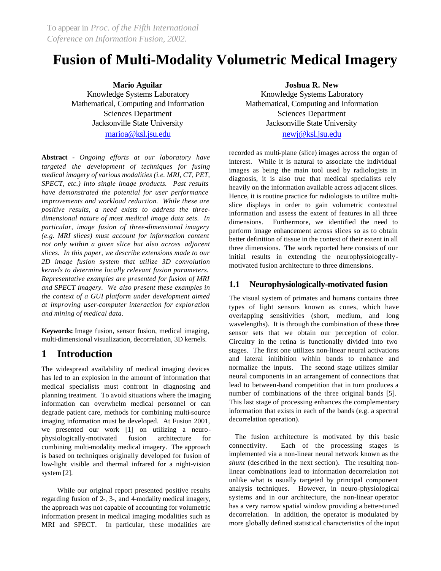# **Fusion of Multi-Modality Volumetric Medical Imagery**

**Mario Aguilar** Knowledge Systems Laboratory Mathematical, Computing and Information Sciences Department Jacksonville State University marioa@ksl.jsu.edu

**Abstract** *- Ongoing efforts at our laboratory have targeted the development of techniques for fusing medical imagery of various modalities (i.e. MRI, CT, PET, SPECT, etc.) into single image products. Past results have demonstrated the potential for user performance improvements and workload reduction. While these are positive results, a need exists to address the threedimensional nature of most medical image data sets. In particular, image fusion of three-dimensional imagery (e.g. MRI slices) must account for information content not only within a given slice but also across adjacent slices. In this paper, we describe extensions made to our 2D image fusion system that utilize 3D convolution kernels to determine locally relevant fusion parameters. Representative examples are presented for fusion of MRI and SPECT imagery. We also present these examples in the context of a GUI platform under development aimed at improving user-computer interaction for exploration and mining of medical data.* 

**Keywords:** Image fusion, sensor fusion, medical imaging, multi-dimensional visualization, decorrelation, 3D kernels.

# **1 Introduction**

The widespread availability of medical imaging devices has led to an explosion in the amount of information that medical specialists must confront in diagnosing and planning treatment. To avoid situations where the imaging information can overwhelm medical personnel or can degrade patient care, methods for combining multi-source imaging information must be developed. At Fusion 2001, we presented our work [1] on utilizing a neurophysiologically-motivated fusion architecture for combining multi-modality medical imagery. The approach is based on techniques originally developed for fusion of low-light visible and thermal infrared for a night-vision system [2].

While our original report presented positive results regarding fusion of 2-, 3-, and 4-modality medical imagery, the approach was not capable of accounting for volumetric information present in medical imaging modalities such as MRI and SPECT. In particular, these modalities are **Joshua R. New**

Knowledge Systems Laboratory Mathematical, Computing and Information Sciences Department Jacksonville State University newj@ksl.jsu.edu

recorded as multi-plane (slice) images across the organ of interest. While it is natural to associate the individual images as being the main tool used by radiologists in diagnosis, it is also true that medical specialists rely heavily on the information available across adjacent slices. Hence, it is routine practice for radiologists to utilize multislice displays in order to gain volumetric contextual information and assess the extent of features in all three dimensions. Furthermore, we identified the need to perform image enhancement across slices so as to obtain better definition of tissue in the context of their extent in all three dimensions. The work reported here consists of our initial results in extending the neurophysiologcallymotivated fusion architecture to three dimensions.

### **1.1 Neurophysiologically-motivated fusion**

The visual system of primates and humans contains three types of light sensors known as cones, which have overlapping sensitivities (short, medium, and long wavelengths). It is through the combination of these three sensor sets that we obtain our perception of color. Circuitry in the retina is functionally divided into two stages. The first one utilizes non-linear neural activations and lateral inhibition within bands to enhance and normalize the inputs. The second stage utilizes similar neural components in an arrangement of connections that lead to between-band competition that in turn produces a number of combinations of the three original bands [5]. This last stage of processing enhances the complementary information that exists in each of the bands (e.g. a spectral decorrelation operation).

The fusion architecture is motivated by this basic connectivity. Each of the processing stages is implemented via a non-linear neural network known as the *shunt* (described in the next section). The resulting nonlinear combinations lead to information decorrelation not unlike what is usually targeted by principal component analysis techniques. However, in neuro-physiological systems and in our architecture, the non-linear operator has a very narrow spatial window providing a better-tuned decorrelation. In addition, the operator is modulated by more globally defined statistical characteristics of the input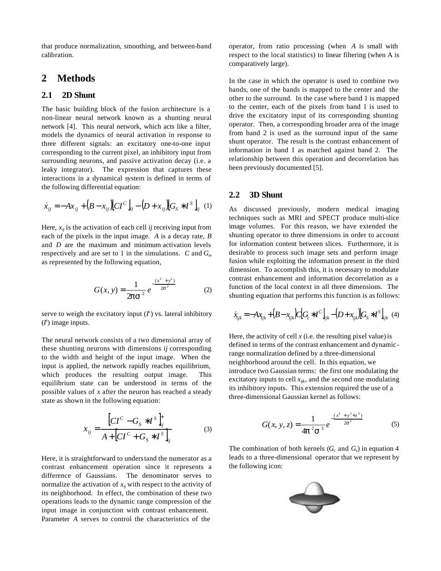that produce normalization, smoothing, and between-band calibration.

## **2 Methods**

#### **2.1 2D Shunt**

The basic building block of the fusion architecture is a non-linear neural network known as a shunting neural network [4]. This neural network, which acts like a filter, models the dynamics of neural activation in response to three different signals: an excitatory one-to-one input corresponding to the current pixel, an inhibitory input from surrounding neurons, and passive activation decay (i.e. a leaky integrator). The expression that captures these interactions in a dynamical system is defined in terms of the following differential equation:

$$
\dot{x}_{ij} = -Ax_{ij} + (B - x_{ij})[CI^{C}]_{ij} - (D + x_{ij})[G_{S} * I^{S}]_{ij} \tag{1}
$$

Here,  $x_{ii}$  is the activation of each cell *ij* receiving input from each of the pixels in the input image. *A* is a decay rate, *B* and *D* are the maximum and minimum activation levels respectively and are set to 1 in the simulations. *C* and *G<sup>s</sup>* , as represented by the following equation,

$$
G(x, y) = \frac{1}{2ps^{2}} e^{-\frac{(x^{2} + y^{2})}{2s^{2}}}
$$
 (2)

serve to weigh the excitatory input  $(I^c)$  vs. lateral inhibitory  $(I^s)$  image inputs.

The neural network consists of a two dimensional array of these shunting neurons with dimensions *ij* corresponding to the width and height of the input image. When the input is applied, the network rapidly reaches equilibrium, which produces the resulting output image. This equilibrium state can be understood in terms of the possible values of *x* after the neuron has reached a steady state as shown in the following equation:

$$
x_{ij} = \frac{\left[CI^{C} - G_{S} * I^{S}\right]_{ij}^{+}}{A + \left[CI^{C} + G_{S} * I^{S}\right]_{ij}}
$$
(3)

Here, it is straightforward to understand the numerator as a contrast enhancement operation since it represents a difference of Gaussians. The denominator serves to normalize the activation of  $x_{ij}$  with respect to the activity of its neighborhood. In effect, the combination of these two operations leads to the dynamic range compression of the input image in conjunction with contrast enhancement. Parameter *A* serves to control the characteristics of the

operator, from ratio processing (when *A* is small with respect to the local statistics) to linear filtering (when A is comparatively large).

In the case in which the operator is used to combine two bands, one of the bands is mapped to the center and the other to the surround. In the case where band 1 is mapped to the center, each of the pixels from band 1 is used to drive the excitatory input of its corresponding shunting operator. Then, a corresponding broader area of the image from band 2 is used as the surround input of the same shunt operator. The result is the contrast enhancement of information in band 1 as matched against band 2. The relationship between this operation and decorrelation has been previously documented [5].

#### **2.2 3D Shunt**

As discussed previously, modern medical imaging techniques such as MRI and SPECT produce multi-slice image volumes. For this reason, we have extended the shunting operator to three dimensions in order to account for information content between slices. Furthermore, it is desirable to process such image sets and perform image fusion while exploiting the information present in the third dimension. To accomplish this, it is necessary to modulate contrast enhancement and information decorrelation as a function of the local context in all three dimensions. The shunting equation that performs this function is as follows:

$$
\dot{x}_{ijk} = -A x_{ijk} + (B - x_{ijk}) C [G_c * I^C]_{ijk} - (D + x_{ijk}) [G_s * I^S]_{ijk} \tag{4}
$$

Here, the activity of cell  $x$  (i.e. the resulting pixel value) is defined in terms of the contrast enhancement and dynamicrange normalization defined by a three-dimensional neighborhood around the cell. In this equation, we introduce two Gaussian terms: the first one modulating the excitatory inputs to cell *xijk*, and the second one modulating its inhibitory inputs. This extension required the use of a three-dimensional Gaussian kernel as follows:

$$
G(x, y, z) = \frac{1}{4p^2 s^3} e^{-\frac{(x^2 + y^2 + z^2)}{2s^2}}
$$
 (5)

The combination of both kernels  $(G_c \text{ and } G_s)$  in equation 4 leads to a three-dimensional operator that we represent by the following icon:

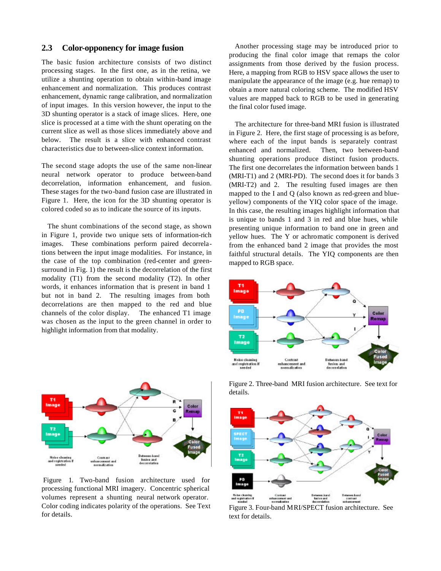#### **2.3 Color-opponency for image fusion**

The basic fusion architecture consists of two distinct processing stages. In the first one, as in the retina, we utilize a shunting operation to obtain within-band image enhancement and normalization. This produces contrast enhancement, dynamic range calibration, and normalization of input images. In this version however, the input to the 3D shunting operator is a stack of image slices. Here, one slice is processed at a time with the shunt operating on the current slice as well as those slices immediately above and below. The result is a slice with enhanced contrast characteristics due to between-slice context information.

The second stage adopts the use of the same non-linear neural network operator to produce between-band decorrelation, information enhancement, and fusion. These stages for the two-band fusion case are illustrated in Figure 1. Here, the icon for the 3D shunting operator is colored coded so as to indicate the source of its inputs.

The shunt combinations of the second stage, as shown in Figure 1, provide two unique sets of information-rich images. These combinations perform paired decorrelations between the input image modalities. For instance, in the case of the top combination (red-center and greensurround in Fig. 1) the result is the decorrelation of the first modality (T1) from the second modality (T2). In other words, it enhances information that is present in band 1 but not in band 2. The resulting images from both decorrelations are then mapped to the red and blue channels of the color display. The enhanced T1 image was chosen as the input to the green channel in order to highlight information from that modality.



 Figure 1. Two-band fusion architecture used for processing functional MRI imagery. Concentric spherical volumes represent a shunting neural network operator. Color coding indicates polarity of the operations. See Text for details.

Another processing stage may be introduced prior to producing the final color image that remaps the color assignments from those derived by the fusion process. Here, a mapping from RGB to HSV space allows the user to manipulate the appearance of the image (e.g. hue remap) to obtain a more natural coloring scheme. The modified HSV values are mapped back to RGB to be used in generating the final color fused image.

The architecture for three-band MRI fusion is illustrated in Figure 2. Here, the first stage of processing is as before, where each of the input bands is separately contrast enhanced and normalized. Then, two between-band shunting operations produce distinct fusion products. The first one decorrelates the information between bands 1 (MRI-T1) and 2 (MRI-PD). The second does it for bands 3 (MRI-T2) and 2. The resulting fused images are then mapped to the I and Q (also known as red-green and blueyellow) components of the YIQ color space of the image. In this case, the resulting images highlight information that is unique to bands 1 and 3 in red and blue hues, while presenting unique information to band one in green and yellow hues. The Y or achromatic component is derived from the enhanced band 2 image that provides the most faithful structural details. The YIQ components are then mapped to RGB space.



Figure 2. Three-band MRI fusion architecture. See text for details.



Figure 3. Four-band MRI/SPECT fusion architecture. See text for details.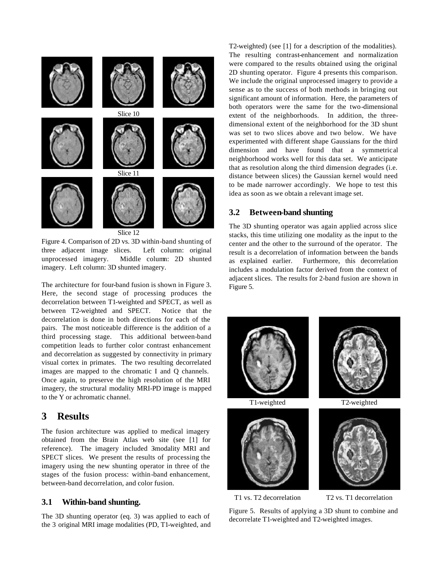

Figure 4. Comparison of 2D vs. 3D within-band shunting of three adjacent image slices. Left column: original unprocessed imagery. Middle column: 2D shunted imagery. Left column: 3D shunted imagery.

The architecture for four-band fusion is shown in Figure 3. Here, the second stage of processing produces the decorrelation between T1-weighted and SPECT, as well as between T2-weighted and SPECT. Notice that the decorrelation is done in both directions for each of the pairs. The most noticeable difference is the addition of a third processing stage. This additional between-band competition leads to further color contrast enhancement and decorrelation as suggested by connectivity in primary visual cortex in primates. The two resulting decorrelated images are mapped to the chromatic I and Q channels. Once again, to preserve the high resolution of the MRI imagery, the structural modality MRI-PD image is mapped to the Y or achromatic channel.

## **3 Results**

The fusion architecture was applied to medical imagery obtained from the Brain Atlas web site (see [1] for reference). The imagery included 3modality MRI and SPECT slices. We present the results of processing the imagery using the new shunting operator in three of the stages of the fusion process: within-band enhancement, between-band decorrelation, and color fusion.

#### **3.1 Within-band shunting.**

The 3D shunting operator (eq. 3) was applied to each of the 3 original MRI image modalities (PD, T1-weighted, and T2-weighted) (see [1] for a description of the modalities). The resulting contrast-enhancement and normalization were compared to the results obtained using the original 2D shunting operator. Figure 4 presents this comparison. We include the original unprocessed imagery to provide a sense as to the success of both methods in bringing out significant amount of information. Here, the parameters of both operators were the same for the two-dimensional extent of the neighborhoods. In addition, the threedimensional extent of the neighborhood for the 3D shunt was set to two slices above and two below. We have experimented with different shape Gaussians for the third dimension and have found that a symmetrical neighborhood works well for this data set. We anticipate that as resolution along the third dimension degrades (i.e. distance between slices) the Gaussian kernel would need to be made narrower accordingly. We hope to test this idea as soon as we obtain a relevant image set.

#### **3.2 Between-band shunting**

The 3D shunting operator was again applied across slice stacks, this time utilizing one modality as the input to the center and the other to the surround of the operator. The result is a decorrelation of information between the bands as explained earlier. Furthermore, this decorrelation includes a modulation factor derived from the context of adjacent slices. The results for 2-band fusion are shown in Figure 5.





T1-weighted T2-weighted



T1 vs. T2 decorrelation T2 vs. T1 decorrelation

Figure 5. Results of applying a 3D shunt to combine and decorrelate T1-weighted and T2-weighted images.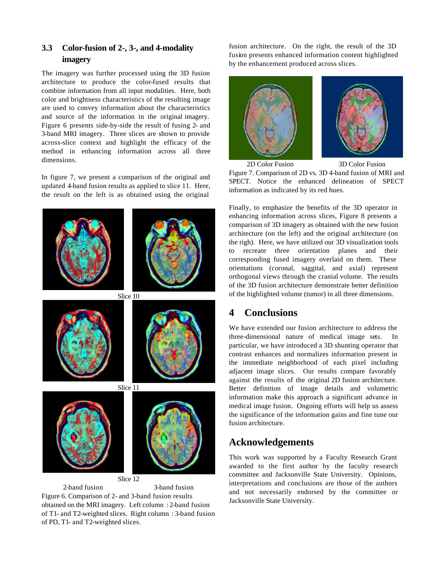## **3.3 Color-fusion of 2-, 3-, and 4-modality imagery**

The imagery was further processed using the 3D fusion architecture to produce the color-fused results that combine information from all input modalities. Here, both color and brightness characteristics of the resulting image are used to convey information about the characteristics and source of the information in the original imagery. Figure 6 presents side-by-side the result of fusing 2- and 3-band MRI imagery. Three slices are shown to provide across-slice context and highlight the efficacy of the method in enhancing information across all three dimensions.

In figure 7, we present a comparison of the original and updated 4-band fusion results as applied to slice 11. Here, the result on the left is as obtained using the original



Figure 6. Comparison of 2- and 3-band fusion results obtained on the MRI imagery. Left column : 2-band fusion of T1- and T2-weighted slices. Right column : 3-band fusion of PD, T1- and T2-weighted slices.

fusion architecture. On the right, the result of the 3D fusion presents enhanced information content highlighted by the enhancement produced across slices.



2D Color Fusion 3D Color Fusion Figure 7. Comparison of 2D vs. 3D 4-band fusion of MRI and SPECT. Notice the enhanced delineation of SPECT information as indicated by its red hues.

Finally, to emphasize the benefits of the 3D operator in enhancing information across slices, Figure 8 presents a comparison of 3D imagery as obtained with the new fusion architecture (on the left) and the original architecture (on the righ). Here, we have utilized our 3D visualization tools to recreate three orientation planes and their corresponding fused imagery overlaid on them. These orientations (coronal, saggital, and axial) represent orthogonal views through the cranial volume. The results of the 3D fusion architecture demonstrate better definition of the highlighted volume (tumor) in all three dimensions.

# **4 Conclusions**

We have extended our fusion architecture to address the three-dimensional nature of medical image sets. particular, we have introduced a 3D shunting operator that contrast enhances and normalizes information present in the immediate neighborhood of each pixel including adjacent image slices. Our results compare favorably against the results of the original 2D fusion architecture. Better definition of image details and volumetric information make this approach a significant advance in medical image fusion. Ongoing efforts will help us assess the significance of the information gains and fine tune our fusion architecture.

# **Acknowledgements**

This work was supported by a Faculty Research Grant awarded to the first author by the faculty research committee and Jacksonville State University. Opinions, interpretations and conclusions are those of the authors and not necessarily endorsed by the committee or Jacksonville State University.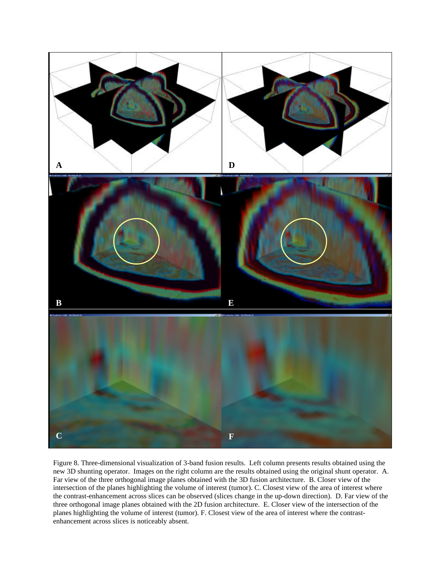

Figure 8. Three-dimensional visualization of 3-band fusion results. Left column presents results obtained using the new 3D shunting operator. Images on the right column are the results obtained using the original shunt operator. A. Far view of the three orthogonal image planes obtained with the 3D fusion architecture. B. Closer view of the intersection of the planes highlighting the volume of interest (tumor). C. Closest view of the area of interest where the contrast-enhancement across slices can be observed (slices change in the up-down direction). D. Far view of the three orthogonal image planes obtained with the 2D fusion architecture. E. Closer view of the intersection of the planes highlighting the volume of interest (tumor). F. Closest view of the area of interest where the contrastenhancement across slices is noticeably absent.